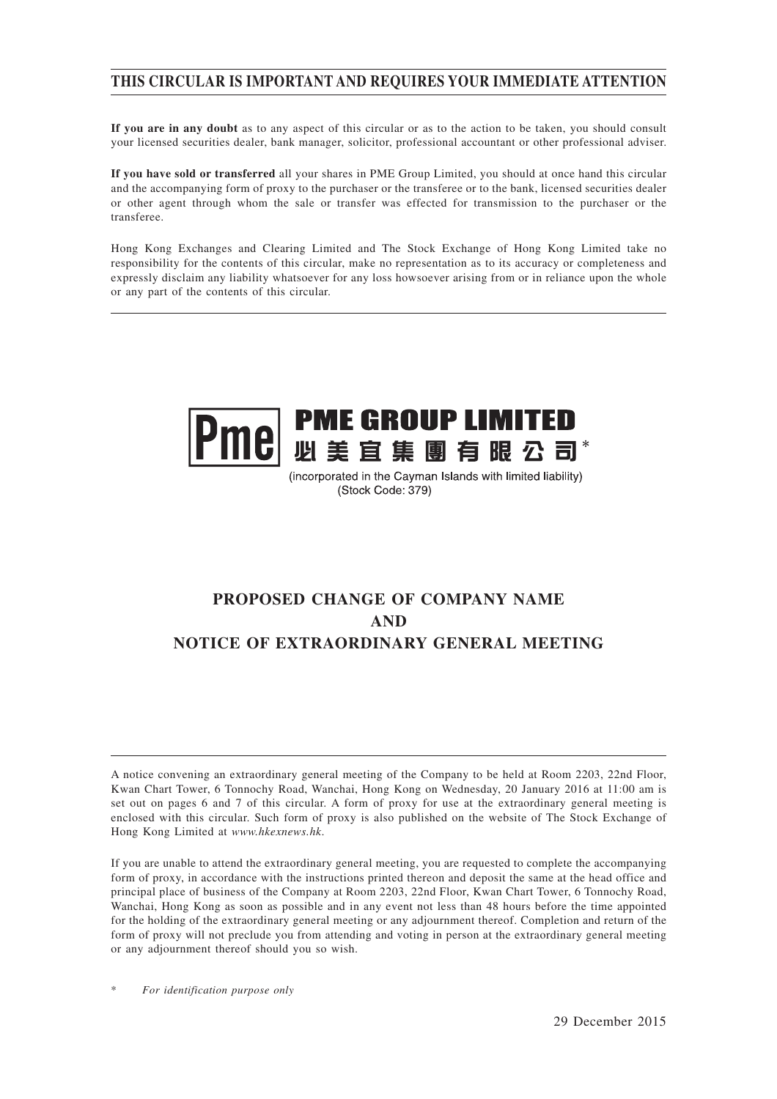# **THIS CIRCULAR IS IMPORTANT AND REQUIRES YOUR IMMEDIATE ATTENTION**

**If you are in any doubt** as to any aspect of this circular or as to the action to be taken, you should consult your licensed securities dealer, bank manager, solicitor, professional accountant or other professional adviser.

**If you have sold or transferred** all your shares in PME Group Limited, you should at once hand this circular and the accompanying form of proxy to the purchaser or the transferee or to the bank, licensed securities dealer or other agent through whom the sale or transfer was effected for transmission to the purchaser or the transferee.

Hong Kong Exchanges and Clearing Limited and The Stock Exchange of Hong Kong Limited take no responsibility for the contents of this circular, make no representation as to its accuracy or completeness and expressly disclaim any liability whatsoever for any loss howsoever arising from or in reliance upon the whole or any part of the contents of this circular.



(incorporated in the Cayman Islands with limited liability) (Stock Code: 379)

# **PROPOSED CHANGE OF COMPANY NAME AND NOTICE OF EXTRAORDINARY GENERAL MEETING**

A notice convening an extraordinary general meeting of the Company to be held at Room 2203, 22nd Floor, Kwan Chart Tower, 6 Tonnochy Road, Wanchai, Hong Kong on Wednesday, 20 January 2016 at 11:00 am is set out on pages 6 and 7 of this circular. A form of proxy for use at the extraordinary general meeting is enclosed with this circular. Such form of proxy is also published on the website of The Stock Exchange of Hong Kong Limited at *www.hkexnews.hk*.

If you are unable to attend the extraordinary general meeting, you are requested to complete the accompanying form of proxy, in accordance with the instructions printed thereon and deposit the same at the head office and principal place of business of the Company at Room 2203, 22nd Floor, Kwan Chart Tower, 6 Tonnochy Road, Wanchai, Hong Kong as soon as possible and in any event not less than 48 hours before the time appointed for the holding of the extraordinary general meeting or any adjournment thereof. Completion and return of the form of proxy will not preclude you from attending and voting in person at the extraordinary general meeting or any adjournment thereof should you so wish.

 $For$  *identification purpose only*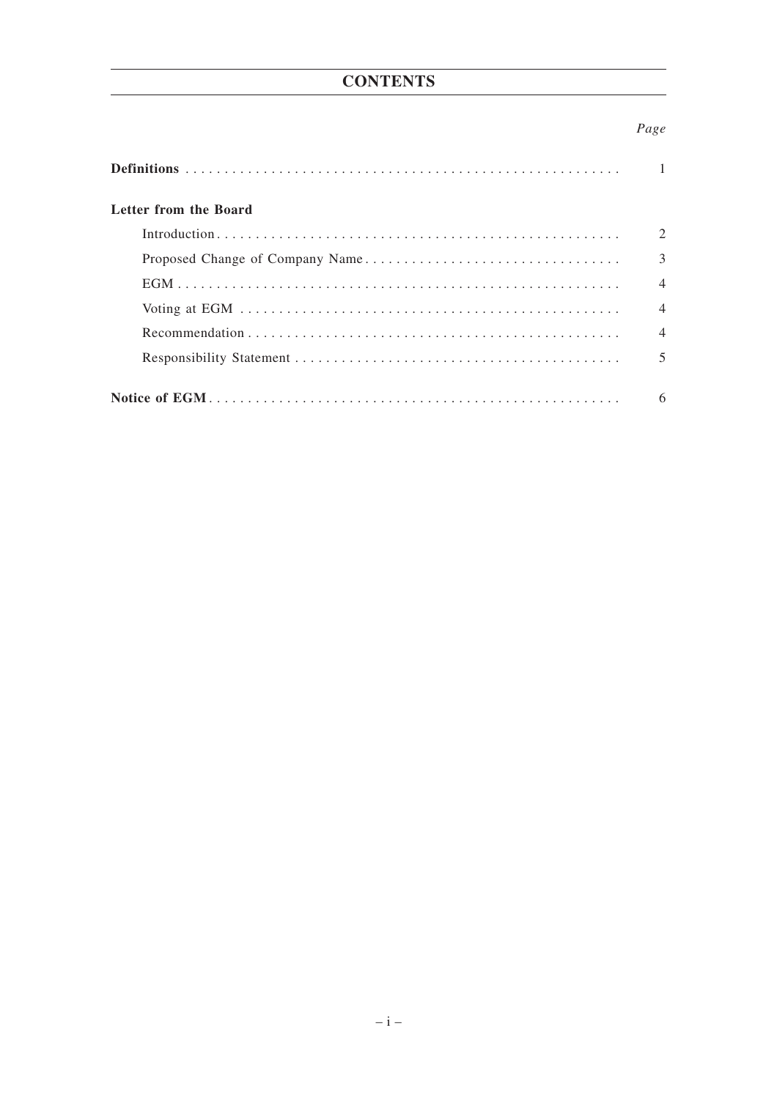# **CONTENTS**

# Page

| Letter from the Board |                             |
|-----------------------|-----------------------------|
|                       | $\mathcal{D}_{\mathcal{L}}$ |
|                       | 3                           |
|                       | $\overline{\mathcal{A}}$    |
|                       | $\overline{4}$              |
|                       | $\overline{\mathcal{A}}$    |
|                       |                             |
|                       | 6                           |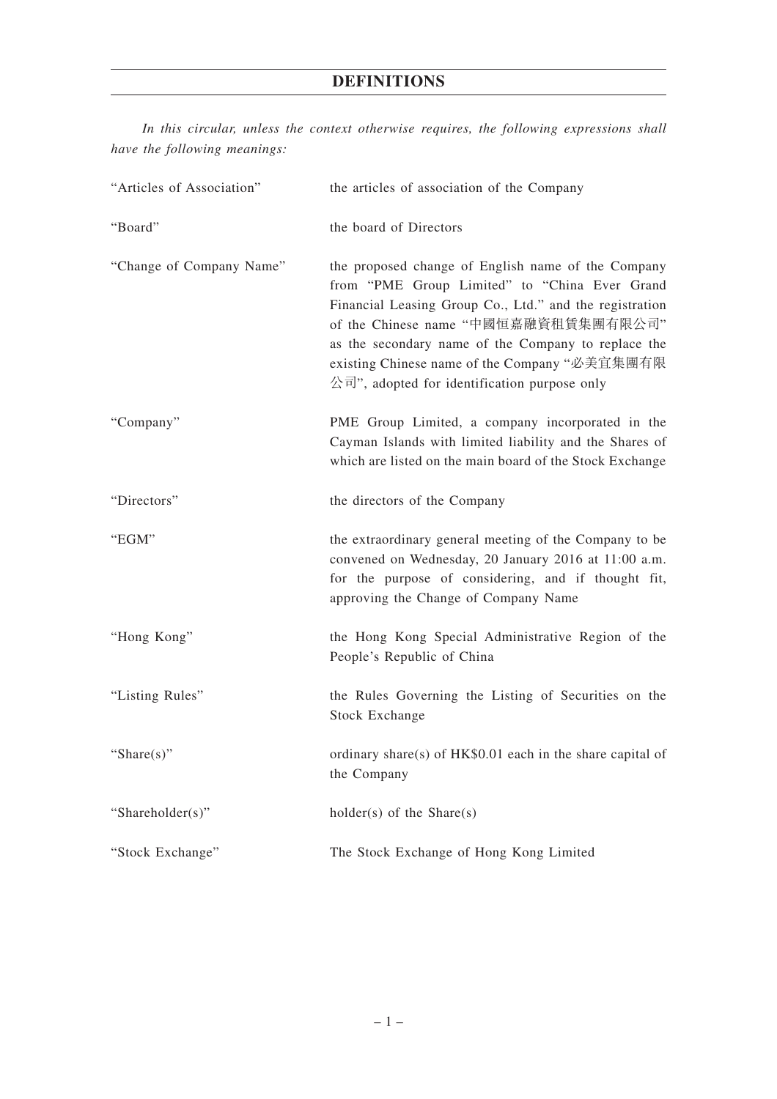# **DEFINITIONS**

*In this circular, unless the context otherwise requires, the following expressions shall have the following meanings:*

| "Articles of Association" | the articles of association of the Company                                                                                                                                                                                                                                                                                                                                              |
|---------------------------|-----------------------------------------------------------------------------------------------------------------------------------------------------------------------------------------------------------------------------------------------------------------------------------------------------------------------------------------------------------------------------------------|
| "Board"                   | the board of Directors                                                                                                                                                                                                                                                                                                                                                                  |
| "Change of Company Name"  | the proposed change of English name of the Company<br>from "PME Group Limited" to "China Ever Grand<br>Financial Leasing Group Co., Ltd." and the registration<br>of the Chinese name "中國恒嘉融資租賃集團有限公司"<br>as the secondary name of the Company to replace the<br>existing Chinese name of the Company "必美宜集團有限<br>$\triangle$ $\overline{p}$ ", adopted for identification purpose only |
| "Company"                 | PME Group Limited, a company incorporated in the<br>Cayman Islands with limited liability and the Shares of<br>which are listed on the main board of the Stock Exchange                                                                                                                                                                                                                 |
| "Directors"               | the directors of the Company                                                                                                                                                                                                                                                                                                                                                            |
| "EGM"                     | the extraordinary general meeting of the Company to be<br>convened on Wednesday, 20 January 2016 at 11:00 a.m.<br>for the purpose of considering, and if thought fit,<br>approving the Change of Company Name                                                                                                                                                                           |
| "Hong Kong"               | the Hong Kong Special Administrative Region of the<br>People's Republic of China                                                                                                                                                                                                                                                                                                        |
| "Listing Rules"           | the Rules Governing the Listing of Securities on the<br><b>Stock Exchange</b>                                                                                                                                                                                                                                                                                                           |
| "Share $(s)$ "            | ordinary share(s) of HK\$0.01 each in the share capital of<br>the Company                                                                                                                                                                                                                                                                                                               |
| "Shareholder(s)"          | $holder(s)$ of the Share $(s)$                                                                                                                                                                                                                                                                                                                                                          |
| "Stock Exchange"          | The Stock Exchange of Hong Kong Limited                                                                                                                                                                                                                                                                                                                                                 |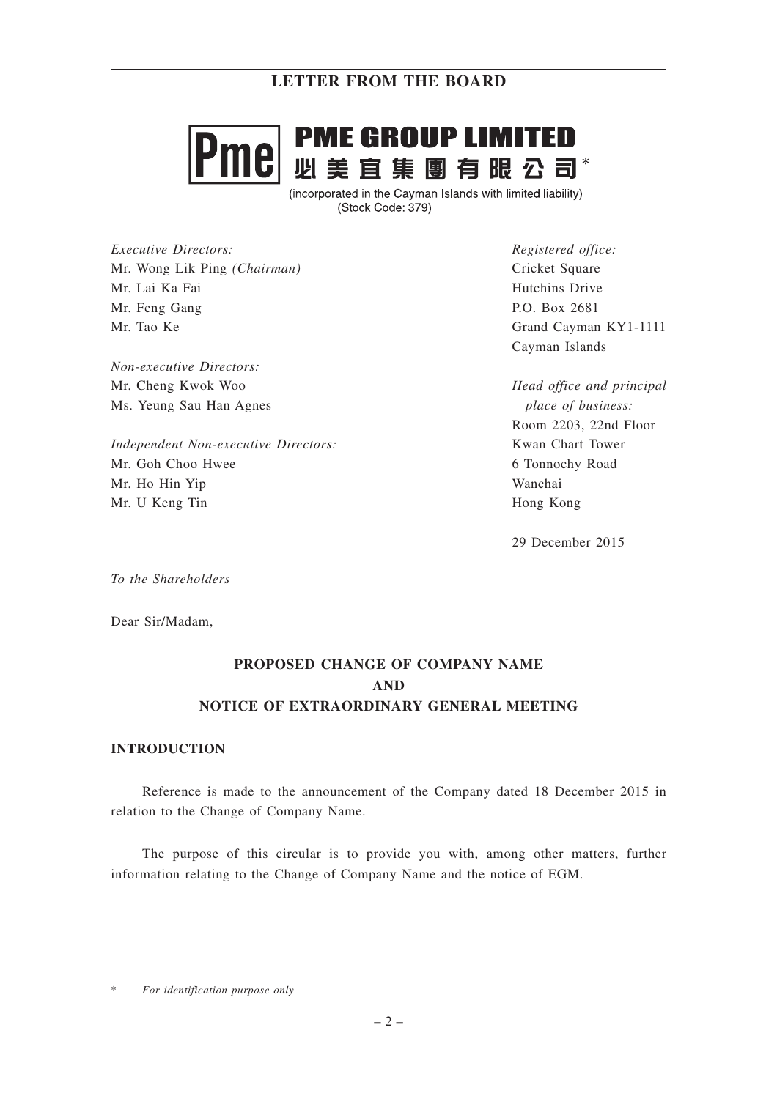# **PME GROUP LIMITED** nel - ---- ---- --- --- ---- ---<br>必 美 宜 集 團 有 眼 公 司\*

(incorporated in the Cayman Islands with limited liability) (Stock Code: 379)

*Executive Directors:* Mr. Wong Lik Ping *(Chairman)* Mr. Lai Ka Fai Mr. Feng Gang Mr. Tao Ke

*Non-executive Directors:* Mr. Cheng Kwok Woo Ms. Yeung Sau Han Agnes

*Independent Non-executive Directors:* Mr. Goh Choo Hwee Mr. Ho Hin Yip Mr. U Keng Tin

*Registered office:* Cricket Square Hutchins Drive P.O. Box 2681 Grand Cayman KY1-1111 Cayman Islands

*Head office and principal place of business:* Room 2203, 22nd Floor Kwan Chart Tower 6 Tonnochy Road Wanchai Hong Kong

29 December 2015

*To the Shareholders*

Dear Sir/Madam,

# **PROPOSED CHANGE OF COMPANY NAME AND NOTICE OF EXTRAORDINARY GENERAL MEETING**

## **INTRODUCTION**

Reference is made to the announcement of the Company dated 18 December 2015 in relation to the Change of Company Name.

The purpose of this circular is to provide you with, among other matters, further information relating to the Change of Company Name and the notice of EGM.

 $For$  *identification purpose only*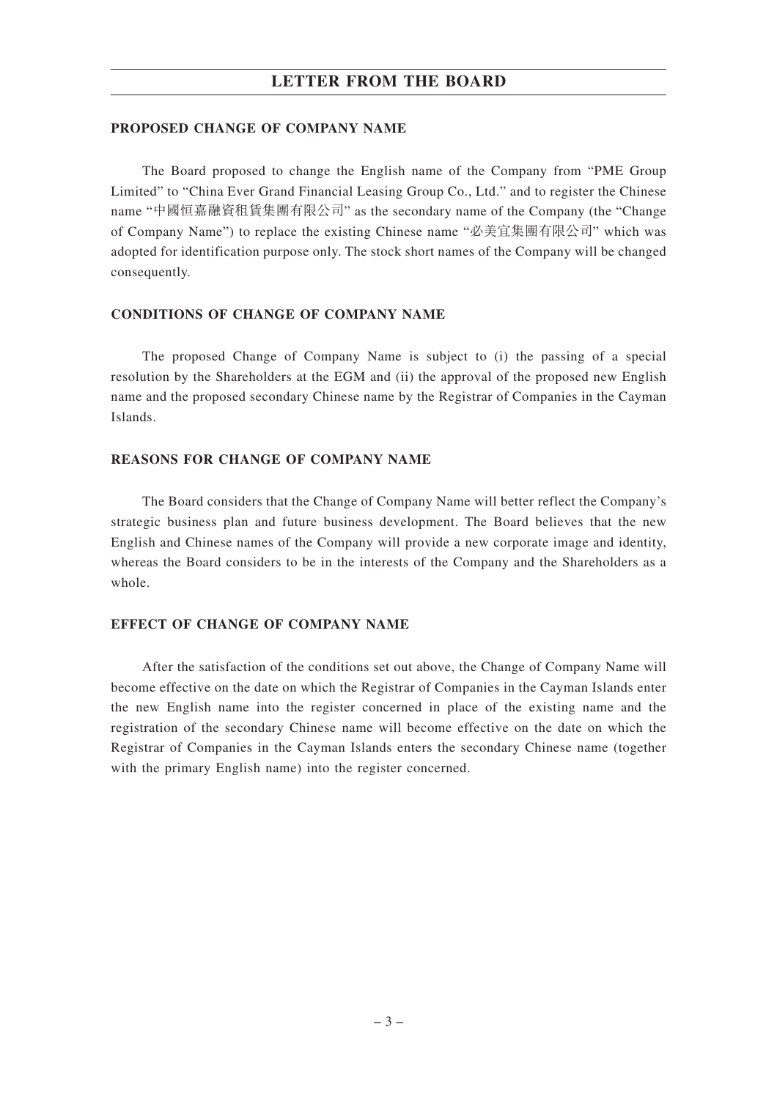## **LETTER FROM THE BOARD**

#### **PROPOSED CHANGE OF COMPANY NAME**

The Board proposed to change the English name of the Company from "PME Group Limited" to "China Ever Grand Financial Leasing Group Co., Ltd." and to register the Chinese name "中國恒嘉融資租賃集團有限公司" as the secondary name of the Company (the "Change of Company Name") to replace the existing Chinese name "必美宜集團有限公司" which was adopted for identification purpose only. The stock short names of the Company will be changed consequently.

#### **CONDITIONS OF CHANGE OF COMPANY NAME**

The proposed Change of Company Name is subject to (i) the passing of a special resolution by the Shareholders at the EGM and (ii) the approval of the proposed new English name and the proposed secondary Chinese name by the Registrar of Companies in the Cayman Islands.

## **REASONS FOR CHANGE OF COMPANY NAME**

The Board considers that the Change of Company Name will better reflect the Company's strategic business plan and future business development. The Board believes that the new English and Chinese names of the Company will provide a new corporate image and identity, whereas the Board considers to be in the interests of the Company and the Shareholders as a whole.

#### **EFFECT OF CHANGE OF COMPANY NAME**

After the satisfaction of the conditions set out above, the Change of Company Name will become effective on the date on which the Registrar of Companies in the Cayman Islands enter the new English name into the register concerned in place of the existing name and the registration of the secondary Chinese name will become effective on the date on which the Registrar of Companies in the Cayman Islands enters the secondary Chinese name (together with the primary English name) into the register concerned.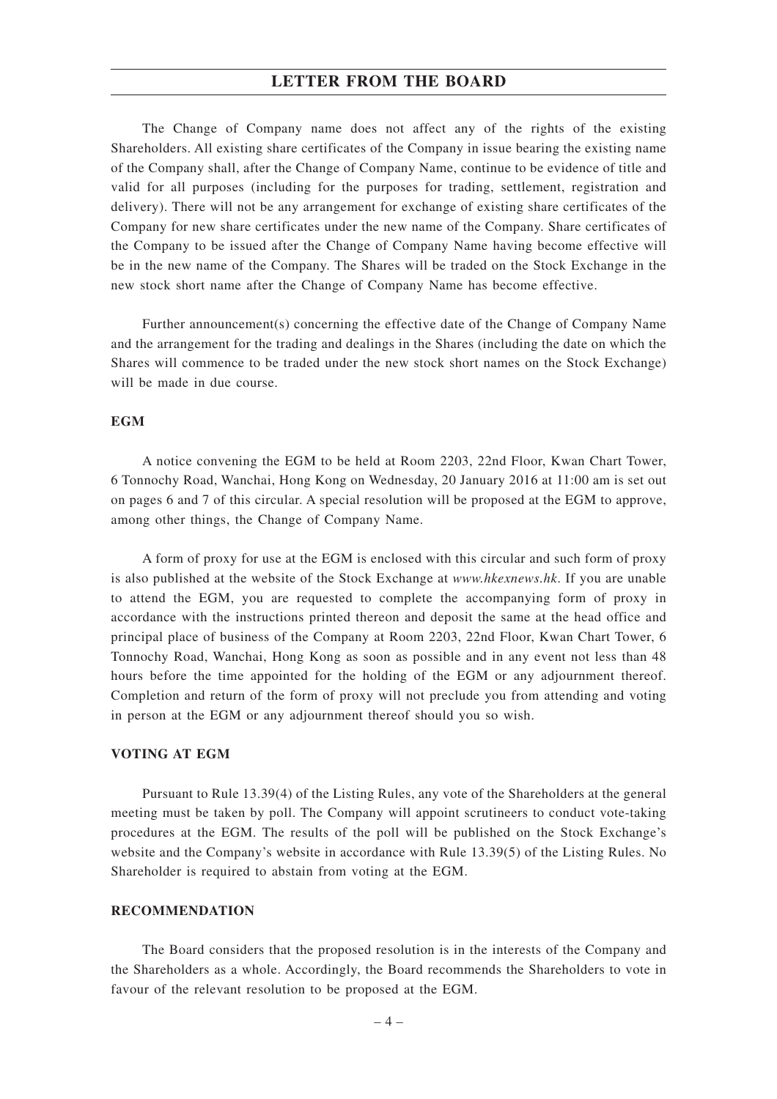### **LETTER FROM THE BOARD**

The Change of Company name does not affect any of the rights of the existing Shareholders. All existing share certificates of the Company in issue bearing the existing name of the Company shall, after the Change of Company Name, continue to be evidence of title and valid for all purposes (including for the purposes for trading, settlement, registration and delivery). There will not be any arrangement for exchange of existing share certificates of the Company for new share certificates under the new name of the Company. Share certificates of the Company to be issued after the Change of Company Name having become effective will be in the new name of the Company. The Shares will be traded on the Stock Exchange in the new stock short name after the Change of Company Name has become effective.

Further announcement(s) concerning the effective date of the Change of Company Name and the arrangement for the trading and dealings in the Shares (including the date on which the Shares will commence to be traded under the new stock short names on the Stock Exchange) will be made in due course.

#### **EGM**

A notice convening the EGM to be held at Room 2203, 22nd Floor, Kwan Chart Tower, 6 Tonnochy Road, Wanchai, Hong Kong on Wednesday, 20 January 2016 at 11:00 am is set out on pages 6 and 7 of this circular. A special resolution will be proposed at the EGM to approve, among other things, the Change of Company Name.

A form of proxy for use at the EGM is enclosed with this circular and such form of proxy is also published at the website of the Stock Exchange at *www.hkexnews.hk*. If you are unable to attend the EGM, you are requested to complete the accompanying form of proxy in accordance with the instructions printed thereon and deposit the same at the head office and principal place of business of the Company at Room 2203, 22nd Floor, Kwan Chart Tower, 6 Tonnochy Road, Wanchai, Hong Kong as soon as possible and in any event not less than 48 hours before the time appointed for the holding of the EGM or any adjournment thereof. Completion and return of the form of proxy will not preclude you from attending and voting in person at the EGM or any adjournment thereof should you so wish.

### **VOTING AT EGM**

Pursuant to Rule 13.39(4) of the Listing Rules, any vote of the Shareholders at the general meeting must be taken by poll. The Company will appoint scrutineers to conduct vote-taking procedures at the EGM. The results of the poll will be published on the Stock Exchange's website and the Company's website in accordance with Rule 13.39(5) of the Listing Rules. No Shareholder is required to abstain from voting at the EGM.

#### **RECOMMENDATION**

The Board considers that the proposed resolution is in the interests of the Company and the Shareholders as a whole. Accordingly, the Board recommends the Shareholders to vote in favour of the relevant resolution to be proposed at the EGM.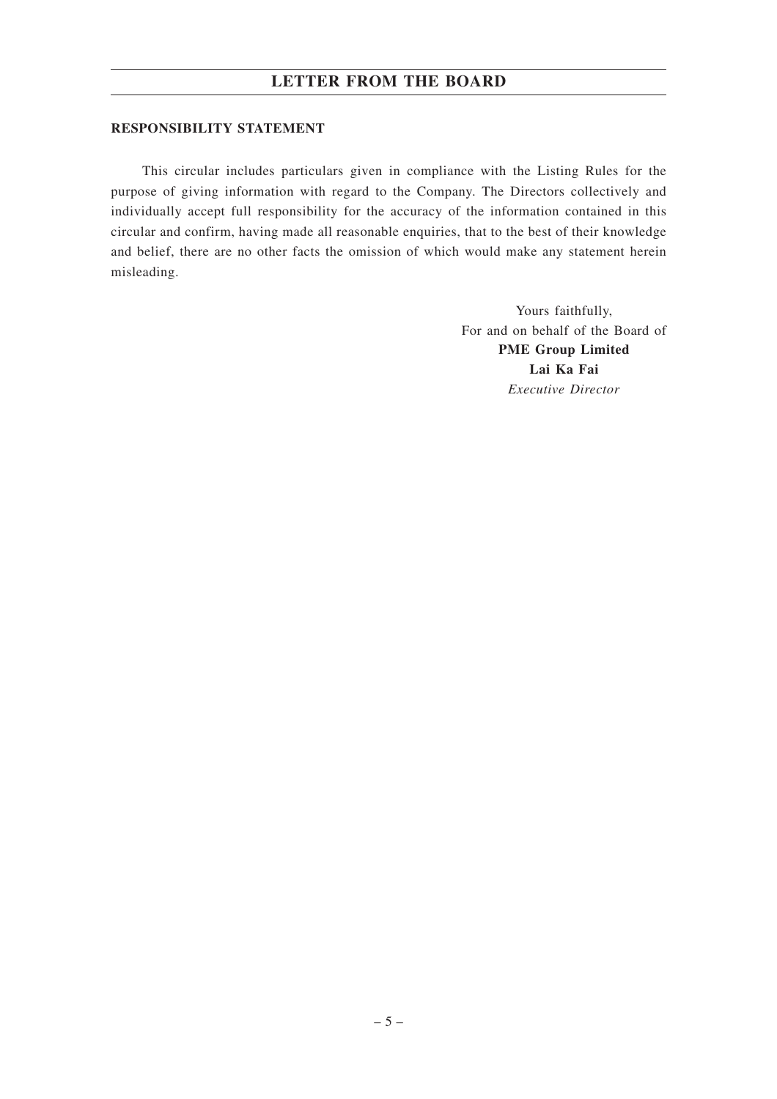## **LETTER FROM THE BOARD**

### **RESPONSIBILITY STATEMENT**

This circular includes particulars given in compliance with the Listing Rules for the purpose of giving information with regard to the Company. The Directors collectively and individually accept full responsibility for the accuracy of the information contained in this circular and confirm, having made all reasonable enquiries, that to the best of their knowledge and belief, there are no other facts the omission of which would make any statement herein misleading.

> Yours faithfully, For and on behalf of the Board of **PME Group Limited Lai Ka Fai** *Executive Director*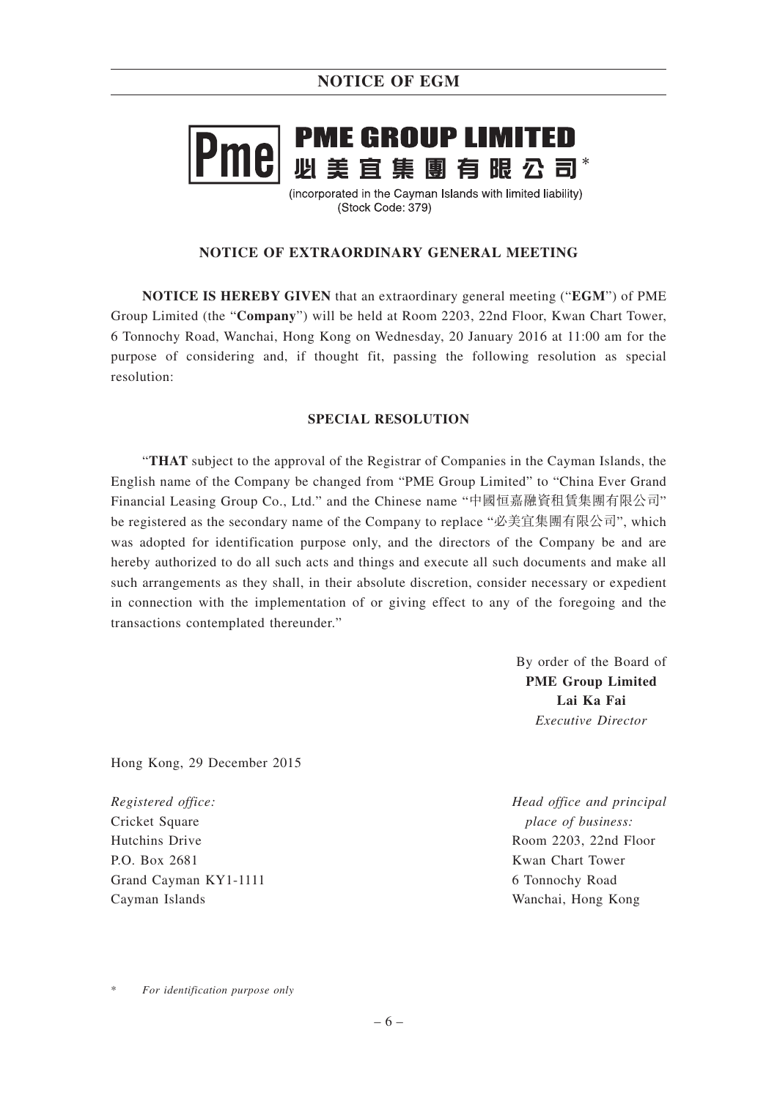# **PME GROUP LIMITED** Iel ------ ---- --- -------- ---<br>必 美 宜 集 團 有 眼 公 司\*

(incorporated in the Cayman Islands with limited liability) (Stock Code: 379)

## **NOTICE OF EXTRAORDINARY GENERAL MEETING**

**NOTICE IS HEREBY GIVEN** that an extraordinary general meeting ("**EGM**") of PME Group Limited (the "**Company**") will be held at Room 2203, 22nd Floor, Kwan Chart Tower, 6 Tonnochy Road, Wanchai, Hong Kong on Wednesday, 20 January 2016 at 11:00 am for the purpose of considering and, if thought fit, passing the following resolution as special resolution:

## **SPECIAL RESOLUTION**

"**THAT** subject to the approval of the Registrar of Companies in the Cayman Islands, the English name of the Company be changed from "PME Group Limited" to "China Ever Grand Financial Leasing Group Co., Ltd." and the Chinese name "中國恒嘉融資租賃集團有限公司" be registered as the secondary name of the Company to replace "必美宜集團有限公司", which was adopted for identification purpose only, and the directors of the Company be and are hereby authorized to do all such acts and things and execute all such documents and make all such arrangements as they shall, in their absolute discretion, consider necessary or expedient in connection with the implementation of or giving effect to any of the foregoing and the transactions contemplated thereunder."

> By order of the Board of **PME Group Limited Lai Ka Fai** *Executive Director*

Hong Kong, 29 December 2015

*Registered office:* Cricket Square Hutchins Drive P.O. Box 2681 Grand Cayman KY1-1111 Cayman Islands

*Head office and principal place of business:* Room 2203, 22nd Floor Kwan Chart Tower 6 Tonnochy Road Wanchai, Hong Kong

 $For$  *identification purpose only*